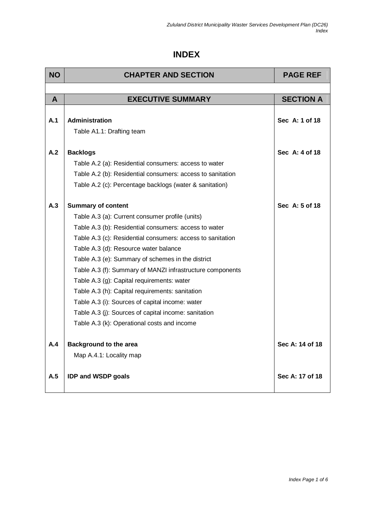## **INDEX**

| <b>NO</b>    | <b>CHAPTER AND SECTION</b>                                                                                                                                                                                                                                                                                           | <b>PAGE REF</b>  |
|--------------|----------------------------------------------------------------------------------------------------------------------------------------------------------------------------------------------------------------------------------------------------------------------------------------------------------------------|------------------|
|              |                                                                                                                                                                                                                                                                                                                      |                  |
| $\mathsf{A}$ | <b>EXECUTIVE SUMMARY</b>                                                                                                                                                                                                                                                                                             | <b>SECTION A</b> |
| A.1          | Administration<br>Table A1.1: Drafting team                                                                                                                                                                                                                                                                          | Sec A: 1 of 18   |
| A.2          | <b>Backlogs</b><br>Table A.2 (a): Residential consumers: access to water<br>Table A.2 (b): Residential consumers: access to sanitation<br>Table A.2 (c): Percentage backlogs (water & sanitation)                                                                                                                    | Sec A: 4 of 18   |
| A.3          | <b>Summary of content</b><br>Table A.3 (a): Current consumer profile (units)<br>Table A.3 (b): Residential consumers: access to water<br>Table A.3 (c): Residential consumers: access to sanitation<br>Table A.3 (d): Resource water balance<br>Table A.3 (e): Summary of schemes in the district                    | Sec A: 5 of 18   |
|              | Table A.3 (f): Summary of MANZI infrastructure components<br>Table A.3 (g): Capital requirements: water<br>Table A.3 (h): Capital requirements: sanitation<br>Table A.3 (i): Sources of capital income: water<br>Table A.3 (j): Sources of capital income: sanitation<br>Table A.3 (k): Operational costs and income |                  |
| A.4          | <b>Background to the area</b><br>Map A.4.1: Locality map                                                                                                                                                                                                                                                             | Sec A: 14 of 18  |
| A.5          | <b>IDP and WSDP goals</b>                                                                                                                                                                                                                                                                                            | Sec A: 17 of 18  |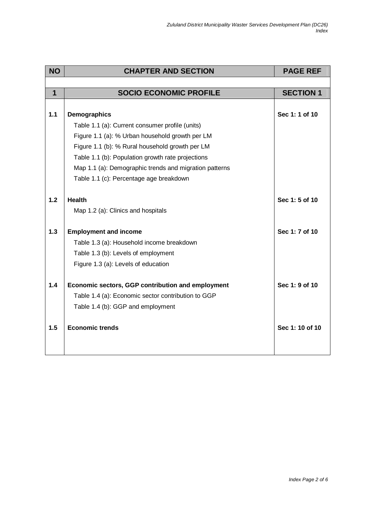| <b>PAGE REF</b>  |
|------------------|
|                  |
| <b>SECTION 1</b> |
|                  |
| Sec 1: 1 of 10   |
|                  |
|                  |
|                  |
|                  |
|                  |
|                  |
|                  |
| Sec 1: 5 of 10   |
|                  |
|                  |
| Sec 1: 7 of 10   |
|                  |
|                  |
|                  |
| Sec 1: 9 of 10   |
|                  |
|                  |
|                  |
| Sec 1: 10 of 10  |
|                  |
|                  |
|                  |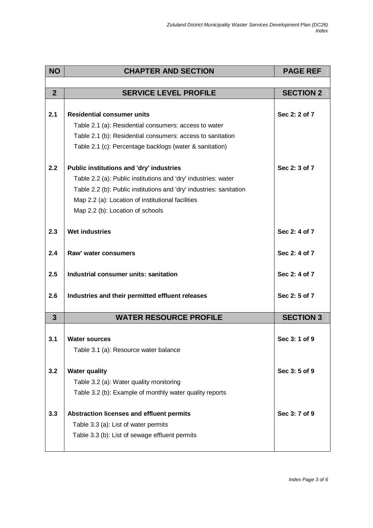| <b>NO</b>      | <b>CHAPTER AND SECTION</b>                                          | <b>PAGE REF</b>  |
|----------------|---------------------------------------------------------------------|------------------|
|                |                                                                     |                  |
| $\overline{2}$ | <b>SERVICE LEVEL PROFILE</b>                                        | <b>SECTION 2</b> |
|                |                                                                     |                  |
| 2.1            | <b>Residential consumer units</b>                                   | Sec 2: 2 of 7    |
|                | Table 2.1 (a): Residential consumers: access to water               |                  |
|                | Table 2.1 (b): Residential consumers: access to sanitation          |                  |
|                | Table 2.1 (c): Percentage backlogs (water & sanitation)             |                  |
| 2.2            | <b>Public institutions and 'dry' industries</b>                     | Sec 2: 3 of 7    |
|                | Table 2.2 (a): Public institutions and 'dry' industries: water      |                  |
|                | Table 2.2 (b): Public institutions and 'dry' industries: sanitation |                  |
|                | Map 2.2 (a): Location of institutional facilities                   |                  |
|                | Map 2.2 (b): Location of schools                                    |                  |
|                |                                                                     |                  |
| 2.3            | <b>Wet industries</b>                                               | Sec 2: 4 of 7    |
| 2.4            | Raw' water consumers                                                | Sec 2: 4 of 7    |
| 2.5            | Industrial consumer units: sanitation                               | Sec 2: 4 of 7    |
| 2.6            | Industries and their permitted effluent releases                    | Sec 2: 5 of 7    |
| $\mathbf{3}$   | <b>WATER RESOURCE PROFILE</b>                                       | <b>SECTION 3</b> |
|                |                                                                     |                  |
| 3.1            | <b>Water sources</b>                                                | Sec 3: 1 of 9    |
|                | Table 3.1 (a): Resource water balance                               |                  |
| 3.2            | <b>Water quality</b>                                                | Sec 3:5 of 9     |
|                | Table 3.2 (a): Water quality monitoring                             |                  |
|                | Table 3.2 (b): Example of monthly water quality reports             |                  |
| 3.3            |                                                                     | Sec 3: 7 of 9    |
|                | Abstraction licenses and effluent permits                           |                  |
|                | Table 3.3 (a): List of water permits                                |                  |
|                | Table 3.3 (b): List of sewage effluent permits                      |                  |
|                |                                                                     |                  |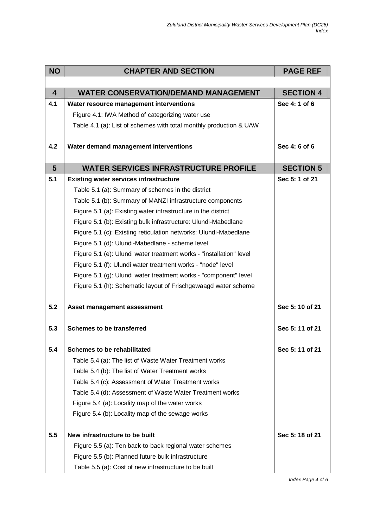| <b>NO</b>               | <b>CHAPTER AND SECTION</b>                                                                                                 | <b>PAGE REF</b>                    |
|-------------------------|----------------------------------------------------------------------------------------------------------------------------|------------------------------------|
|                         |                                                                                                                            |                                    |
| $\overline{\mathbf{4}}$ | <b>WATER CONSERVATION/DEMAND MANAGEMENT</b>                                                                                | <b>SECTION 4</b>                   |
| 4.1                     | Water resource management interventions                                                                                    | Sec 4: 1 of 6                      |
|                         | Figure 4.1: IWA Method of categorizing water use                                                                           |                                    |
|                         | Table 4.1 (a): List of schemes with total monthly production & UAW                                                         |                                    |
|                         |                                                                                                                            |                                    |
| 4.2                     | Water demand management interventions                                                                                      | Sec 4: 6 of 6                      |
|                         |                                                                                                                            |                                    |
| $5\phantom{1}$<br>5.1   | <b>WATER SERVICES INFRASTRUCTURE PROFILE</b>                                                                               | <b>SECTION 5</b><br>Sec 5: 1 of 21 |
|                         | <b>Existing water services infrastructure</b>                                                                              |                                    |
|                         | Table 5.1 (a): Summary of schemes in the district                                                                          |                                    |
|                         | Table 5.1 (b): Summary of MANZI infrastructure components<br>Figure 5.1 (a): Existing water infrastructure in the district |                                    |
|                         | Figure 5.1 (b): Existing bulk infrastructure: Ulundi-Mabedlane                                                             |                                    |
|                         | Figure 5.1 (c): Existing reticulation networks: Ulundi-Mabedlane                                                           |                                    |
|                         | Figure 5.1 (d): Ulundi-Mabedlane - scheme level                                                                            |                                    |
|                         | Figure 5.1 (e): Ulundi water treatment works - "installation" level                                                        |                                    |
|                         | Figure 5.1 (f): Ulundi water treatment works - "node" level                                                                |                                    |
|                         | Figure 5.1 (g): Ulundi water treatment works - "component" level                                                           |                                    |
|                         | Figure 5.1 (h): Schematic layout of Frischgewaagd water scheme                                                             |                                    |
|                         |                                                                                                                            |                                    |
| 5.2                     | Asset management assessment                                                                                                | Sec 5: 10 of 21                    |
|                         |                                                                                                                            |                                    |
| 5.3                     | <b>Schemes to be transferred</b>                                                                                           | Sec 5: 11 of 21                    |
|                         |                                                                                                                            |                                    |
| 5.4                     | <b>Schemes to be rehabilitated</b>                                                                                         | Sec 5: 11 of 21                    |
|                         | Table 5.4 (a): The list of Waste Water Treatment works                                                                     |                                    |
|                         | Table 5.4 (b): The list of Water Treatment works                                                                           |                                    |
|                         | Table 5.4 (c): Assessment of Water Treatment works                                                                         |                                    |
|                         | Table 5.4 (d): Assessment of Waste Water Treatment works                                                                   |                                    |
|                         | Figure 5.4 (a): Locality map of the water works                                                                            |                                    |
|                         | Figure 5.4 (b): Locality map of the sewage works                                                                           |                                    |
|                         |                                                                                                                            |                                    |
| 5.5                     | New infrastructure to be built                                                                                             | Sec 5: 18 of 21                    |
|                         | Figure 5.5 (a): Ten back-to-back regional water schemes                                                                    |                                    |
|                         | Figure 5.5 (b): Planned future bulk infrastructure                                                                         |                                    |
|                         | Table 5.5 (a): Cost of new infrastructure to be built                                                                      |                                    |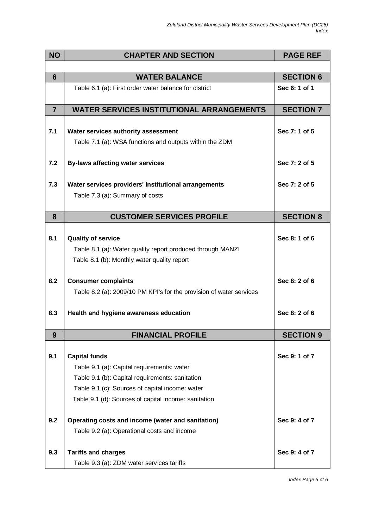| <b>NO</b>      | <b>CHAPTER AND SECTION</b>                                          | <b>PAGE REF</b>  |
|----------------|---------------------------------------------------------------------|------------------|
|                |                                                                     |                  |
| 6              | <b>WATER BALANCE</b>                                                | <b>SECTION 6</b> |
|                | Table 6.1 (a): First order water balance for district               | Sec 6: 1 of 1    |
| $\overline{7}$ | <b>WATER SERVICES INSTITUTIONAL ARRANGEMENTS</b>                    | <b>SECTION 7</b> |
|                |                                                                     |                  |
| 7.1            | Water services authority assessment                                 | Sec 7: 1 of 5    |
|                | Table 7.1 (a): WSA functions and outputs within the ZDM             |                  |
| 7.2            | <b>By-laws affecting water services</b>                             | Sec 7: 2 of 5    |
|                |                                                                     |                  |
| 7.3            | Water services providers' institutional arrangements                | Sec 7: 2 of 5    |
|                | Table 7.3 (a): Summary of costs                                     |                  |
|                |                                                                     |                  |
| 8              | <b>CUSTOMER SERVICES PROFILE</b>                                    | <b>SECTION 8</b> |
|                |                                                                     |                  |
| 8.1            | <b>Quality of service</b>                                           | Sec 8: 1 of 6    |
|                | Table 8.1 (a): Water quality report produced through MANZI          |                  |
|                | Table 8.1 (b): Monthly water quality report                         |                  |
| 8.2            | <b>Consumer complaints</b>                                          | Sec 8: 2 of 6    |
|                | Table 8.2 (a): 2009/10 PM KPI's for the provision of water services |                  |
|                |                                                                     |                  |
| 8.3            | Health and hygiene awareness education                              | Sec 8: 2 of 6    |
|                |                                                                     |                  |
| 9              | <b>FINANCIAL PROFILE</b>                                            | <b>SECTION 9</b> |
|                |                                                                     |                  |
| 9.1            | <b>Capital funds</b>                                                | Sec 9: 1 of 7    |
|                |                                                                     |                  |
|                | Table 9.1 (a): Capital requirements: water                          |                  |
|                | Table 9.1 (b): Capital requirements: sanitation                     |                  |
|                | Table 9.1 (c): Sources of capital income: water                     |                  |
|                | Table 9.1 (d): Sources of capital income: sanitation                |                  |
| 9.2            | Operating costs and income (water and sanitation)                   | Sec 9: 4 of 7    |
|                | Table 9.2 (a): Operational costs and income                         |                  |
| 9.3            | <b>Tariffs and charges</b>                                          | Sec 9: 4 of 7    |